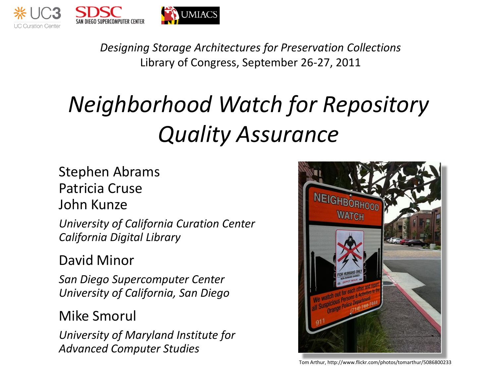

*Designing Storage Architectures for Preservation Collections* Library of Congress, September 26-27, 2011

# *Neighborhood Watch for Repository Quality Assurance*

#### Stephen Abrams Patricia Cruse John Kunze

*University of California Curation Center California Digital Library*

David Minor

*San Diego Supercomputer Center University of California, San Diego*

#### Mike Smorul

*University of Maryland Institute for Advanced Computer Studies*



Tom Arthur, http://www.flickr.com/photos/tomarthur/5086800233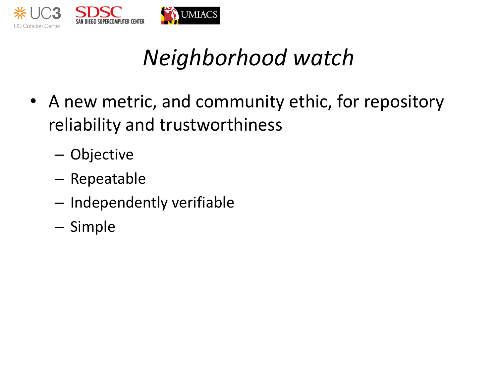

- A new metric, and community ethic, for repository reliability and trustworthiness
	- Objective
	- Repeatable
	- Independently verifiable
	- Simple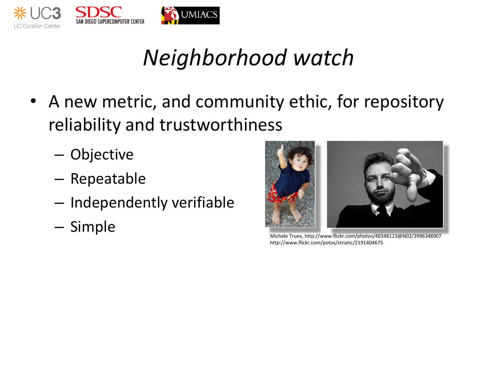

- A new metric, and community ethic, for repository reliability and trustworthiness
	- Objective
	- Repeatable
	- Independently verifiable
	-



http://www.flickr.com/potos/striatic/2191404675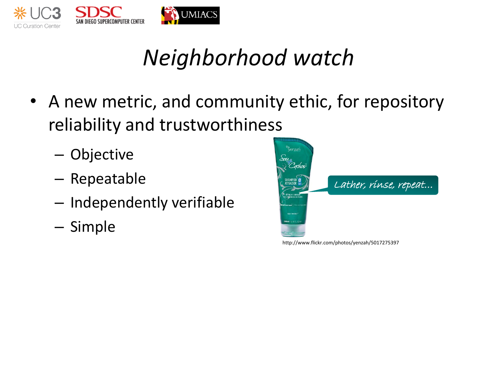

- A new metric, and community ethic, for repository reliability and trustworthiness
	- Objective
	- Repeatable
	- Independently verifiable
	- Simple



http://www.flickr.com/photos/yenzah/5017275397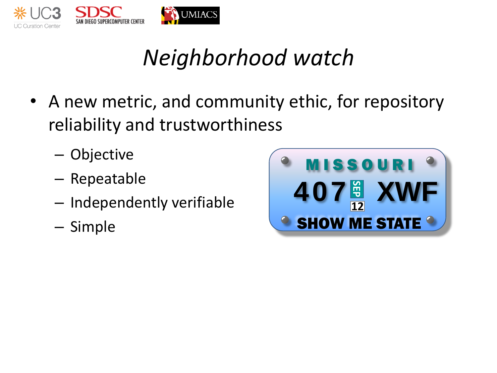

- A new metric, and community ethic, for repository reliability and trustworthiness
	- Objective
	- Repeatable
	- Independently verifiable
	- Simple

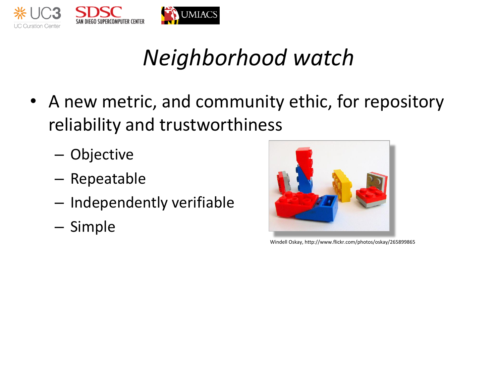

- A new metric, and community ethic, for repository reliability and trustworthiness
	- Objective
	- Repeatable
	- Independently verifiable
	- Simple



Windell Oskay, http://www.flickr.com/photos/oskay/265899865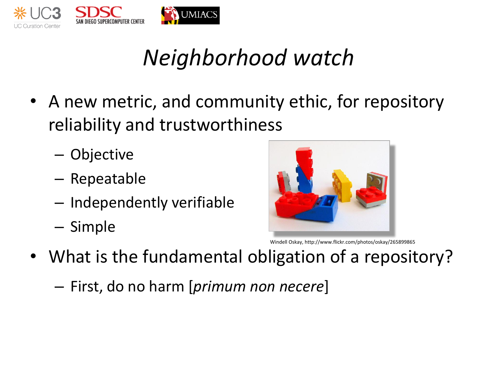

- A new metric, and community ethic, for repository reliability and trustworthiness
	- Objective
	- Repeatable
	- Independently verifiable
	- Simple



Windell Oskay, http://www.flickr.com/photos/oskay/265899865

- What is the fundamental obligation of a repository?
	- First, do no harm [*primum non necere*]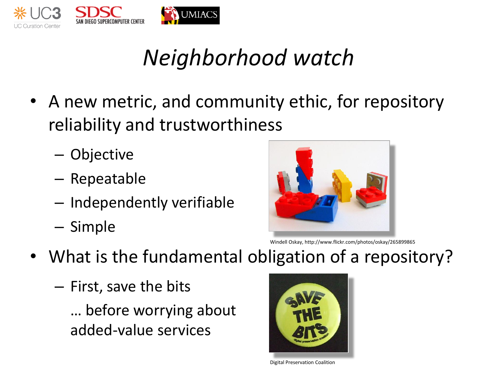

- A new metric, and community ethic, for repository reliability and trustworthiness
	- Objective
	- Repeatable
	- Independently verifiable
	- Simple



Windell Oskay, http://www.flickr.com/photos/oskay/265899865

- What is the fundamental obligation of a repository?
	- First, save the bits
		- … before worrying about added-value services



Digital Preservation Coalition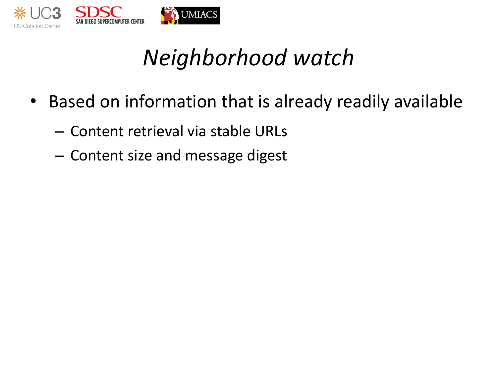

- Based on information that is already readily available
	- Content retrieval via stable URLs
	- Content size and message digest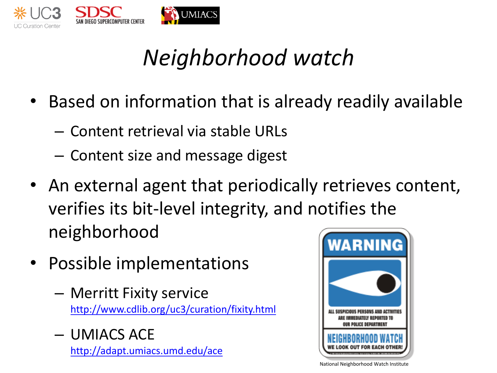

- Based on information that is already readily available
	- Content retrieval via stable URLs
	- Content size and message digest
- An external agent that periodically retrieves content, verifies its bit-level integrity, and notifies the neighborhood
- Possible implementations
	- Merritt Fixity service <http://www.cdlib.org/uc3/curation/fixity.html>
	- UMIACS ACE <http://adapt.umiacs.umd.edu/ace>



National Neighborhood Watch Institute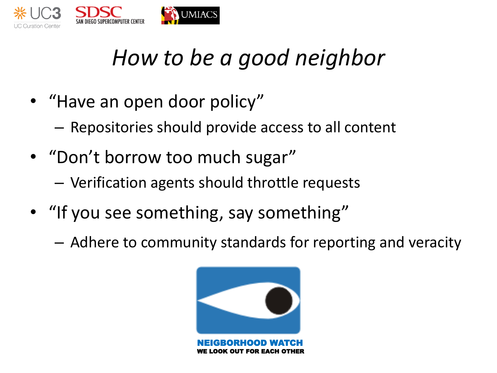

## *How to be a good neighbor*

- "Have an open door policy"
	- Repositories should provide access to all content
- "Don't borrow too much sugar"
	- Verification agents should throttle requests
- "If you see something, say something"
	- Adhere to community standards for reporting and veracity

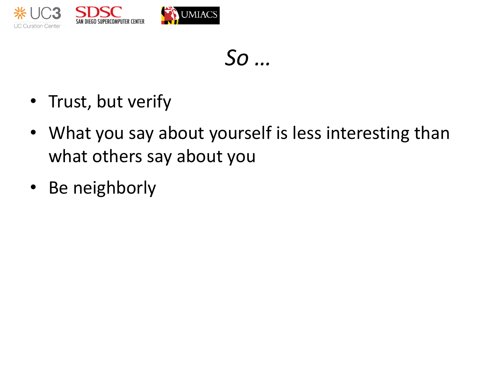

*So …*

- Trust, but verify
- What you say about yourself is less interesting than what others say about you
- Be neighborly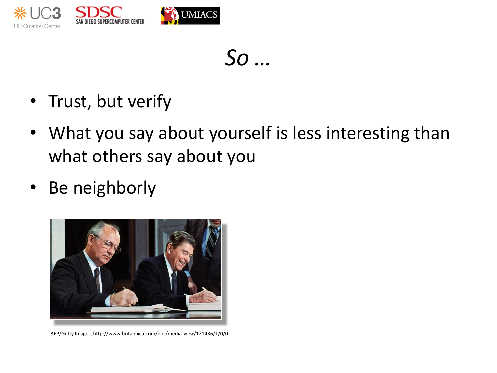

*So …*

- Trust, but verify
- What you say about yourself is less interesting than what others say about you
- Be neighborly



AFP/Getty Images, http://www.britannica.com/bps/media-view/121436/1/0/0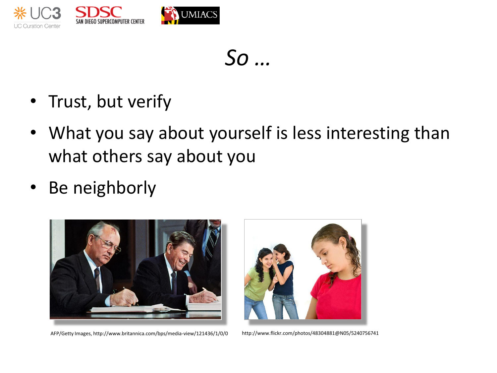

*So …*

- Trust, but verify
- What you say about yourself is less interesting than what others say about you
- Be neighborly



AFP/Getty Images, http://www.britannica.com/bps/media-view/121436/1/0/0 http://www.flickr.com/photos/48304881@N05/5240756741